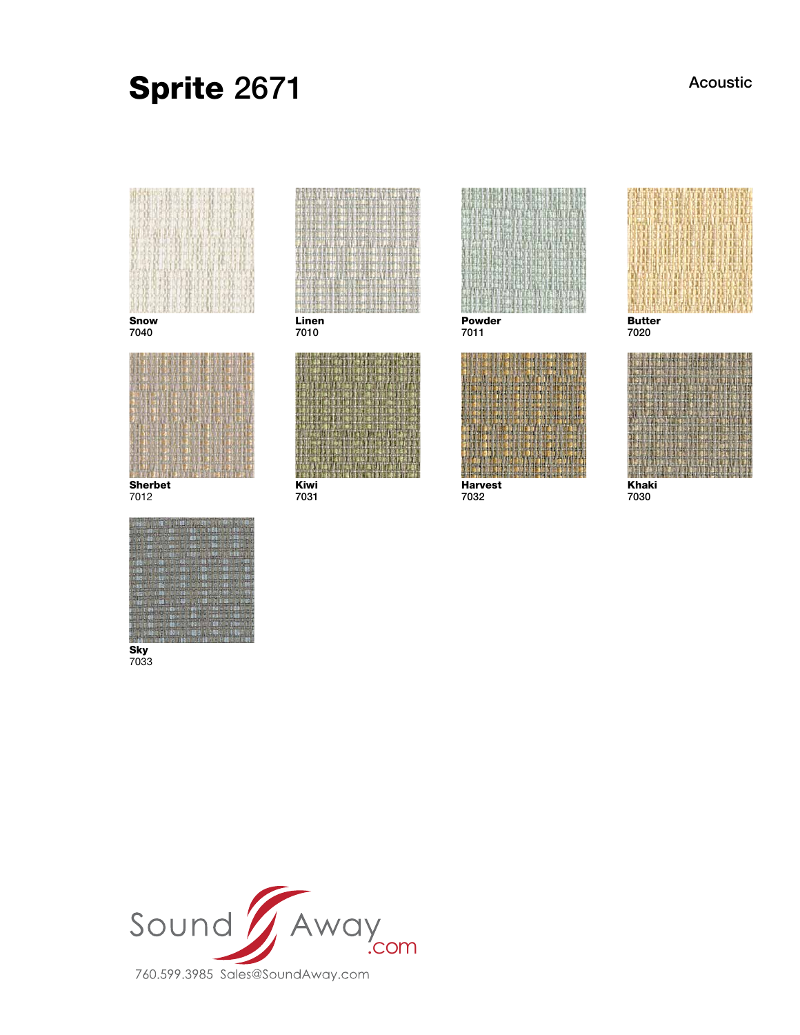# Sprite 2671

Acoustic